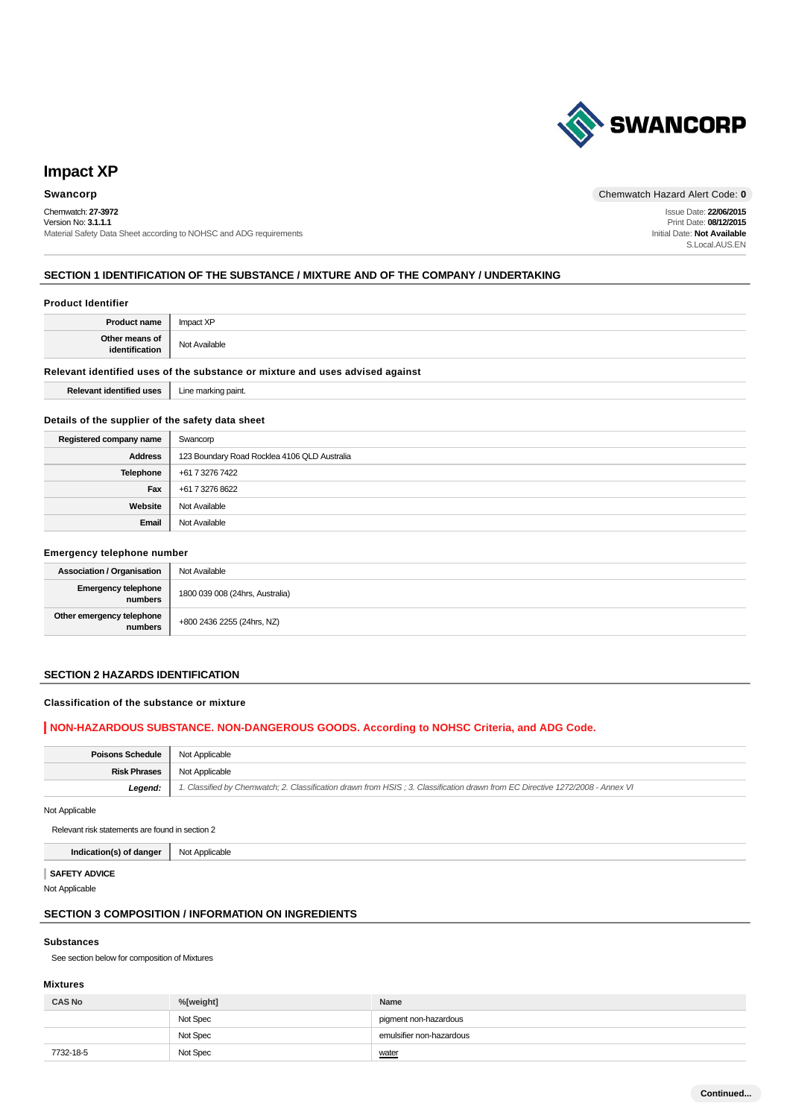

# **Impact XP**

## Chemwatch: **27-3972**

Version No: **3.1.1.1** Material Safety Data Sheet according to NOHSC and ADG requirements

**Swancorp** Chemwatch Hazard Alert Code: 0

Issue Date: **22/06/2015** Print Date: **08/12/2015** Initial Date: **Not Available** S.Local.AUS.EN

## **SECTION 1 IDENTIFICATION OF THE SUBSTANCE / MIXTURE AND OF THE COMPANY / UNDERTAKING**

## **Product Identifier**

| <b>Product name</b>                                                           | Impact XP           |  |
|-------------------------------------------------------------------------------|---------------------|--|
| Other means of<br>identification                                              | Not Available       |  |
| Relevant identified uses of the substance or mixture and uses advised against |                     |  |
| <b>Relevant identified uses</b>                                               | Line marking paint. |  |

#### **Details of the supplier of the safety data sheet**

| Registered company name | Swancorp                                     |
|-------------------------|----------------------------------------------|
| <b>Address</b>          | 123 Boundary Road Rocklea 4106 QLD Australia |
| Telephone               | +61 7 3276 7422                              |
| Fax                     | +61 7 3276 8622                              |
| Website                 | Not Available                                |
| Email                   | Not Available                                |

#### **Emergency telephone number**

| <b>Association / Organisation</b>    | Not Available                   |
|--------------------------------------|---------------------------------|
| Emergency telephone<br>numbers       | 1800 039 008 (24hrs, Australia) |
| Other emergency telephone<br>numbers | +800 2436 2255 (24hrs, NZ)      |

## **SECTION 2 HAZARDS IDENTIFICATION**

#### **Classification of the substance or mixture**

## **NON-HAZARDOUS SUBSTANCE. NON-DANGEROUS GOODS. According to NOHSC Criteria, and ADG Code.**

| <b>Poisons Schedule</b> | Not Applicable                                                                                                                |
|-------------------------|-------------------------------------------------------------------------------------------------------------------------------|
| <b>Risk Phrases</b>     | Not Applicable                                                                                                                |
| Legend:                 | 1. Classified by Chemwatch; 2. Classification drawn from HSIS; 3. Classification drawn from EC Directive 1272/2008 - Annex VI |
|                         |                                                                                                                               |

Not Applicable

Relevant risk statements are found in section 2

**Indication(s) of danger** Not Applicable

#### **SAFETY ADVICE**

Not Applicable

## **SECTION 3 COMPOSITION / INFORMATION ON INGREDIENTS**

#### **Substances**

See section below for composition of Mixtures

## **Mixtures**

| <b>CAS No</b> | %[weight] | Name                     |
|---------------|-----------|--------------------------|
|               | Not Spec  | pigment non-hazardous    |
|               | Not Spec  | emulsifier non-hazardous |
| 7732-18-5     | Not Spec  | water                    |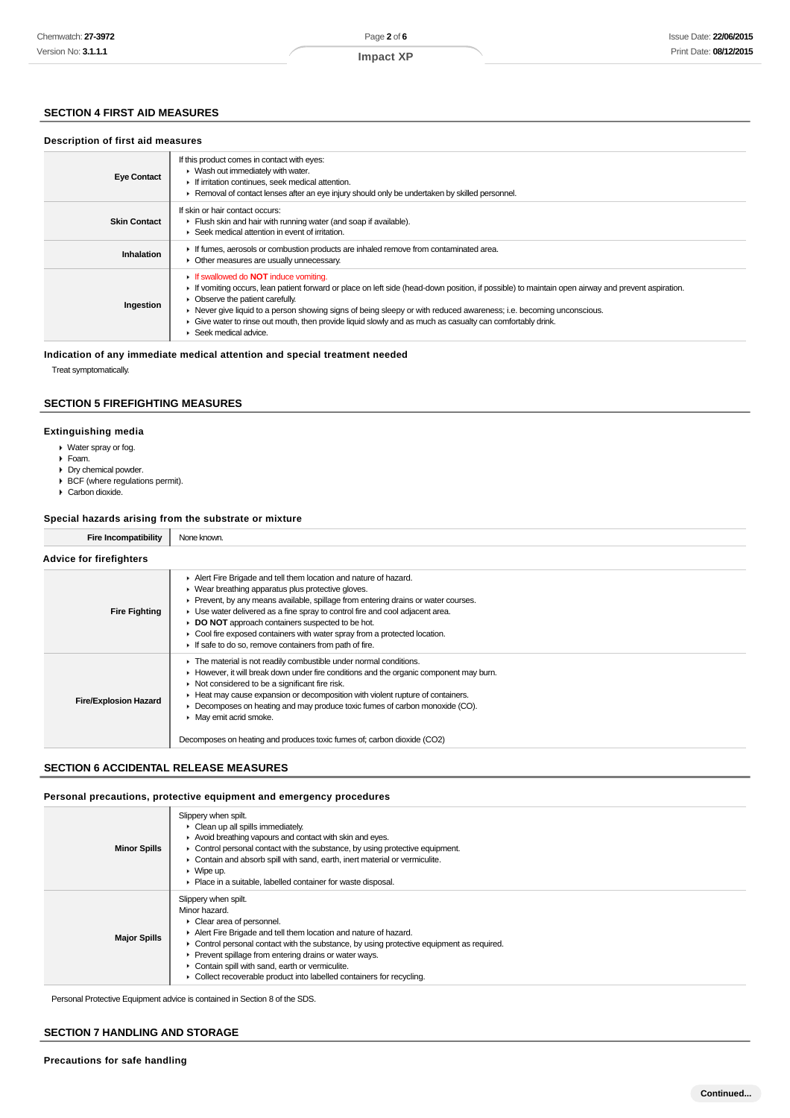## **SECTION 4 FIRST AID MEASURES**

## **Description of first aid measures**

| <b>Eye Contact</b>  | If this product comes in contact with eyes:<br>• Wash out immediately with water.<br>If irritation continues, seek medical attention.<br>► Removal of contact lenses after an eye injury should only be undertaken by skilled personnel.                                                                                                                                                                                                                                                                        |
|---------------------|-----------------------------------------------------------------------------------------------------------------------------------------------------------------------------------------------------------------------------------------------------------------------------------------------------------------------------------------------------------------------------------------------------------------------------------------------------------------------------------------------------------------|
| <b>Skin Contact</b> | If skin or hair contact occurs:<br>Flush skin and hair with running water (and soap if available).<br>▶ Seek medical attention in event of irritation.                                                                                                                                                                                                                                                                                                                                                          |
| Inhalation          | If fumes, aerosols or combustion products are inhaled remove from contaminated area.<br>• Other measures are usually unnecessary.                                                                                                                                                                                                                                                                                                                                                                               |
| Ingestion           | If swallowed do <b>NOT</b> induce vomiting.<br>If vomiting occurs, lean patient forward or place on left side (head-down position, if possible) to maintain open airway and prevent aspiration.<br>• Observe the patient carefully.<br>• Never give liquid to a person showing signs of being sleepy or with reduced awareness; i.e. becoming unconscious.<br>Give water to rinse out mouth, then provide liquid slowly and as much as casualty can comfortably drink.<br>$\triangleright$ Seek medical advice. |

#### **Indication of any immediate medical attention and special treatment needed**

Treat symptomatically.

## **SECTION 5 FIREFIGHTING MEASURES**

#### **Extinguishing media**

- Water spray or fog.
- Foam.
- Dry chemical powder.
- BCF (where regulations permit).
- Carbon dioxide.

## **Special hazards arising from the substrate or mixture**

| a Incompatibility<br>Fire | None known. |
|---------------------------|-------------|
| Advice for firefighters   |             |

| <b>Fire Fighting</b>         | Alert Fire Brigade and tell them location and nature of hazard.<br>▶ Wear breathing apparatus plus protective gloves.<br>Prevent, by any means available, spillage from entering drains or water courses.<br>Use water delivered as a fine spray to control fire and cool adjacent area.<br>DO NOT approach containers suspected to be hot.<br>Cool fire exposed containers with water spray from a protected location.<br>If safe to do so, remove containers from path of fire.                |
|------------------------------|--------------------------------------------------------------------------------------------------------------------------------------------------------------------------------------------------------------------------------------------------------------------------------------------------------------------------------------------------------------------------------------------------------------------------------------------------------------------------------------------------|
| <b>Fire/Explosion Hazard</b> | The material is not readily combustible under normal conditions.<br>However, it will break down under fire conditions and the organic component may burn.<br>$\triangleright$ Not considered to be a significant fire risk.<br>Heat may cause expansion or decomposition with violent rupture of containers.<br>Decomposes on heating and may produce toxic fumes of carbon monoxide (CO).<br>• May emit acrid smoke.<br>Decomposes on heating and produces toxic fumes of; carbon dioxide (CO2) |

## **SECTION 6 ACCIDENTAL RELEASE MEASURES**

#### **Personal precautions, protective equipment and emergency procedures**

| <b>Minor Spills</b> | Slippery when spilt.<br>$\triangleright$ Clean up all spills immediately.<br>Avoid breathing vapours and contact with skin and eyes.<br>$\triangleright$ Control personal contact with the substance, by using protective equipment.<br>• Contain and absorb spill with sand, earth, inert material or vermiculite.<br>$\triangleright$ Wipe up.<br>• Place in a suitable, labelled container for waste disposal.                   |
|---------------------|-------------------------------------------------------------------------------------------------------------------------------------------------------------------------------------------------------------------------------------------------------------------------------------------------------------------------------------------------------------------------------------------------------------------------------------|
| <b>Major Spills</b> | Slippery when spilt.<br>Minor hazard.<br>Clear area of personnel.<br>Alert Fire Brigade and tell them location and nature of hazard.<br>$\triangleright$ Control personal contact with the substance, by using protective equipment as required.<br>Prevent spillage from entering drains or water ways.<br>Contain spill with sand, earth or vermiculite.<br>• Collect recoverable product into labelled containers for recycling. |

Personal Protective Equipment advice is contained in Section 8 of the SDS.

#### **SECTION 7 HANDLING AND STORAGE**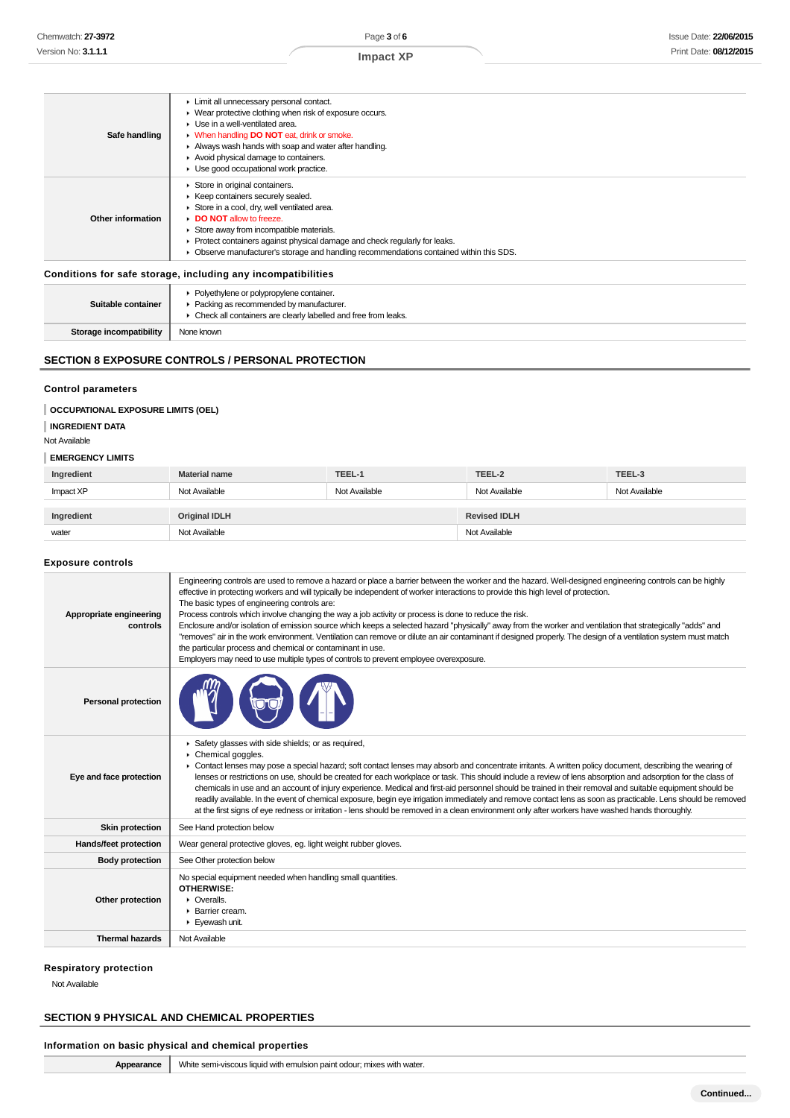#### **Safe handling** Limit all unnecessary personal contact. Wear protective clothing when risk of exposure occurs. ▶ Use in a well-ventilated area. When handling **DO NOT** eat, drink or smoke. Always wash hands with soap and water after handling. Avoid physical damage to containers. Use good occupational work practice. **Other information** Store in original containers. ▶ Keep containers securely sealed. Store in a cool, dry, well ventilated area. **DO NOT** allow to freeze  $\blacktriangleright$  Store away from incompatible materials. Protect containers against physical damage and check regularly for leaks. Observe manufacturer's storage and handling recommendations contained within this SDS.

#### **Conditions for safe storage, including any incompatibilities**

| Suitable container             | • Polyethylene or polypropylene container.<br>Packing as recommended by manufacturer.<br>• Check all containers are clearly labelled and free from leaks. |
|--------------------------------|-----------------------------------------------------------------------------------------------------------------------------------------------------------|
| <b>Storage incompatibility</b> | None known                                                                                                                                                |

## **SECTION 8 EXPOSURE CONTROLS / PERSONAL PROTECTION**

#### **Control parameters**

#### **OCCUPATIONAL EXPOSURE LIMITS (OEL)**

**INGREDIENT DATA**

Not Available

#### **EMERGENCY LIMITS**

| Ingredient                         | <b>Material name</b> | TEEL-1              | TEEL-2        | TEEL-3        |
|------------------------------------|----------------------|---------------------|---------------|---------------|
| Impact XP                          | Not Available        | Not Available       | Not Available | Not Available |
| <b>Original IDLH</b><br>Ingredient |                      | <b>Revised IDLH</b> |               |               |
| water                              | Not Available        |                     | Not Available |               |

#### **Exposure controls**

| Appropriate engineering<br>controls | Engineering controls are used to remove a hazard or place a barrier between the worker and the hazard. Well-designed engineering controls can be highly<br>effective in protecting workers and will typically be independent of worker interactions to provide this high level of protection.<br>The basic types of engineering controls are:<br>Process controls which involve changing the way a job activity or process is done to reduce the risk.<br>Enclosure and/or isolation of emission source which keeps a selected hazard "physically" away from the worker and ventilation that strategically "adds" and<br>"removes" air in the work environment. Ventilation can remove or dilute an air contaminant if designed properly. The design of a ventilation system must match<br>the particular process and chemical or contaminant in use.<br>Employers may need to use multiple types of controls to prevent employee overexposure. |  |  |
|-------------------------------------|-------------------------------------------------------------------------------------------------------------------------------------------------------------------------------------------------------------------------------------------------------------------------------------------------------------------------------------------------------------------------------------------------------------------------------------------------------------------------------------------------------------------------------------------------------------------------------------------------------------------------------------------------------------------------------------------------------------------------------------------------------------------------------------------------------------------------------------------------------------------------------------------------------------------------------------------------|--|--|
| <b>Personal protection</b>          |                                                                                                                                                                                                                                                                                                                                                                                                                                                                                                                                                                                                                                                                                                                                                                                                                                                                                                                                                 |  |  |
| Eye and face protection             | Safety glasses with side shields; or as required,<br>Chemical goggles.<br>• Contact lenses may pose a special hazard; soft contact lenses may absorb and concentrate irritants. A written policy document, describing the wearing of<br>lenses or restrictions on use, should be created for each workplace or task. This should include a review of lens absorption and adsorption for the class of<br>chemicals in use and an account of injury experience. Medical and first-aid personnel should be trained in their removal and suitable equipment should be<br>readily available. In the event of chemical exposure, begin eye irrigation immediately and remove contact lens as soon as practicable. Lens should be removed<br>at the first signs of eye redness or irritation - lens should be removed in a clean environment only after workers have washed hands thoroughly.                                                          |  |  |
| <b>Skin protection</b>              | See Hand protection below                                                                                                                                                                                                                                                                                                                                                                                                                                                                                                                                                                                                                                                                                                                                                                                                                                                                                                                       |  |  |
| Hands/feet protection               | Wear general protective gloves, eg. light weight rubber gloves.                                                                                                                                                                                                                                                                                                                                                                                                                                                                                                                                                                                                                                                                                                                                                                                                                                                                                 |  |  |
| <b>Body protection</b>              | See Other protection below                                                                                                                                                                                                                                                                                                                                                                                                                                                                                                                                                                                                                                                                                                                                                                                                                                                                                                                      |  |  |
| Other protection                    | No special equipment needed when handling small quantities.<br>OTHERWISE:<br>$\triangleright$ Overalls.<br>▶ Barrier cream.<br>Eyewash unit.                                                                                                                                                                                                                                                                                                                                                                                                                                                                                                                                                                                                                                                                                                                                                                                                    |  |  |
| <b>Thermal hazards</b>              | Not Available                                                                                                                                                                                                                                                                                                                                                                                                                                                                                                                                                                                                                                                                                                                                                                                                                                                                                                                                   |  |  |
|                                     |                                                                                                                                                                                                                                                                                                                                                                                                                                                                                                                                                                                                                                                                                                                                                                                                                                                                                                                                                 |  |  |

#### **Respiratory protection**

Not Available

## **SECTION 9 PHYSICAL AND CHEMICAL PROPERTIES**

#### **Information on basic physical and chemical properties**

**Appearance** White semi-viscous liquid with emulsion paint odour; mixes with water.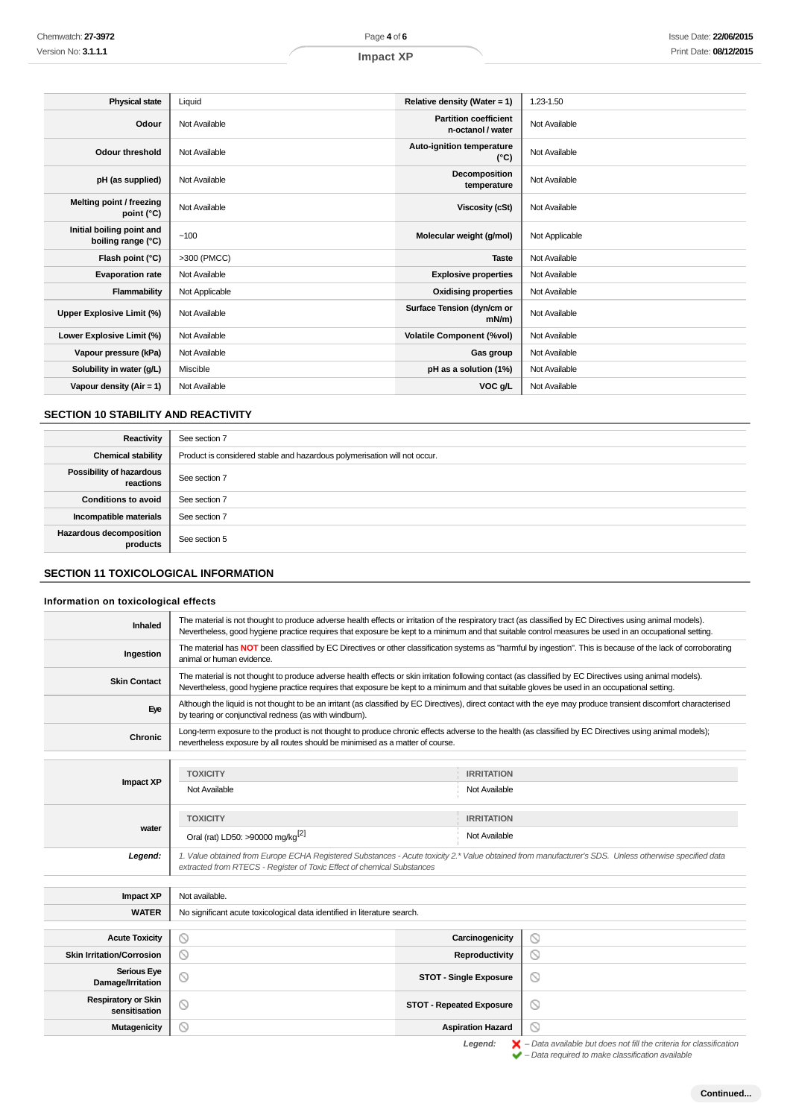| <b>Physical state</b>                           | Liquid         | Relative density (Water = 1)                      | 1.23-1.50      |
|-------------------------------------------------|----------------|---------------------------------------------------|----------------|
| Odour                                           | Not Available  | <b>Partition coefficient</b><br>n-octanol / water | Not Available  |
| <b>Odour threshold</b>                          | Not Available  | Auto-ignition temperature<br>$(^{\circ}C)$        | Not Available  |
| pH (as supplied)                                | Not Available  | Decomposition<br>temperature                      | Not Available  |
| Melting point / freezing<br>point (°C)          | Not Available  | <b>Viscosity (cSt)</b>                            | Not Available  |
| Initial boiling point and<br>boiling range (°C) | ~100           | Molecular weight (g/mol)                          | Not Applicable |
| Flash point (°C)                                | >300 (PMCC)    | <b>Taste</b>                                      | Not Available  |
| <b>Evaporation rate</b>                         | Not Available  | <b>Explosive properties</b>                       | Not Available  |
| Flammability                                    | Not Applicable | <b>Oxidising properties</b>                       | Not Available  |
| Upper Explosive Limit (%)                       | Not Available  | Surface Tension (dyn/cm or<br>$mN/m$ )            | Not Available  |
| Lower Explosive Limit (%)                       | Not Available  | <b>Volatile Component (%vol)</b>                  | Not Available  |
| Vapour pressure (kPa)                           | Not Available  | Gas group                                         | Not Available  |
| Solubility in water (g/L)                       | Miscible       | pH as a solution (1%)                             | Not Available  |
| Vapour density ( $Air = 1$ )                    | Not Available  | VOC g/L                                           | Not Available  |

## **SECTION 10 STABILITY AND REACTIVITY**

| Reactivity                            | See section 7                                                             |
|---------------------------------------|---------------------------------------------------------------------------|
| <b>Chemical stability</b>             | Product is considered stable and hazardous polymerisation will not occur. |
| Possibility of hazardous<br>reactions | See section 7                                                             |
| <b>Conditions to avoid</b>            | See section 7                                                             |
| Incompatible materials                | See section 7                                                             |
| Hazardous decomposition<br>products   | See section 5                                                             |

## **SECTION 11 TOXICOLOGICAL INFORMATION**

## **Information on toxicological effects**

| Chemwatch: 27-3972                              | Page 4 of 6                                                                                                                                                                                                                                                                                                          |                                                   | Issue Date: 22/06/201 |
|-------------------------------------------------|----------------------------------------------------------------------------------------------------------------------------------------------------------------------------------------------------------------------------------------------------------------------------------------------------------------------|---------------------------------------------------|-----------------------|
| Version No: <b>3.1.1.1</b>                      | <b>Impact XP</b>                                                                                                                                                                                                                                                                                                     |                                                   | Print Date: 08/12/201 |
|                                                 |                                                                                                                                                                                                                                                                                                                      |                                                   |                       |
|                                                 |                                                                                                                                                                                                                                                                                                                      |                                                   |                       |
| <b>Physical state</b>                           | Liquid                                                                                                                                                                                                                                                                                                               | Relative density (Water = 1)                      | 1.23-1.50             |
| Odour                                           | Not Available                                                                                                                                                                                                                                                                                                        | <b>Partition coefficient</b><br>n-octanol / water | Not Available         |
| <b>Odour threshold</b>                          | Not Available                                                                                                                                                                                                                                                                                                        | Auto-ignition temperature<br>(°C)                 | Not Available         |
| pH (as supplied)                                | Not Available                                                                                                                                                                                                                                                                                                        | Decomposition<br>temperature                      | Not Available         |
| Melting point / freezing<br>point (°C)          | Not Available                                                                                                                                                                                                                                                                                                        | <b>Viscosity (cSt)</b>                            | Not Available         |
| Initial boiling point and<br>boiling range (°C) | ~100                                                                                                                                                                                                                                                                                                                 | Molecular weight (g/mol)                          | Not Applicable        |
| Flash point (°C)                                | >300 (PMCC)                                                                                                                                                                                                                                                                                                          | <b>Taste</b>                                      | Not Available         |
| <b>Evaporation rate</b>                         | Not Available                                                                                                                                                                                                                                                                                                        | <b>Explosive properties</b>                       | Not Available         |
| Flammability                                    | Not Applicable                                                                                                                                                                                                                                                                                                       | <b>Oxidising properties</b>                       | Not Available         |
| <b>Upper Explosive Limit (%)</b>                | Not Available                                                                                                                                                                                                                                                                                                        | Surface Tension (dyn/cm or<br>$mN/m$ )            | Not Available         |
| Lower Explosive Limit (%)                       | Not Available                                                                                                                                                                                                                                                                                                        | <b>Volatile Component (%vol)</b>                  | Not Available         |
| Vapour pressure (kPa)                           | Not Available                                                                                                                                                                                                                                                                                                        | Gas group                                         | Not Available         |
| Solubility in water (g/L)                       | Miscible                                                                                                                                                                                                                                                                                                             | pH as a solution (1%)                             | Not Available         |
| Vapour density (Air = 1)                        | Not Available                                                                                                                                                                                                                                                                                                        | VOC g/L                                           | Not Available         |
|                                                 |                                                                                                                                                                                                                                                                                                                      |                                                   |                       |
| <b>SECTION 10 STABILITY AND REACTIVITY</b>      |                                                                                                                                                                                                                                                                                                                      |                                                   |                       |
| Reactivity                                      | See section 7                                                                                                                                                                                                                                                                                                        |                                                   |                       |
| <b>Chemical stability</b>                       | Product is considered stable and hazardous polymerisation will not occur.                                                                                                                                                                                                                                            |                                                   |                       |
| Possibility of hazardous                        |                                                                                                                                                                                                                                                                                                                      |                                                   |                       |
| reactions                                       | See section 7                                                                                                                                                                                                                                                                                                        |                                                   |                       |
| <b>Conditions to avoid</b>                      | See section 7                                                                                                                                                                                                                                                                                                        |                                                   |                       |
| Incompatible materials                          | See section 7                                                                                                                                                                                                                                                                                                        |                                                   |                       |
| Hazardous decomposition<br>products             | See section 5                                                                                                                                                                                                                                                                                                        |                                                   |                       |
|                                                 |                                                                                                                                                                                                                                                                                                                      |                                                   |                       |
| <b>SECTION 11 TOXICOLOGICAL INFORMATION</b>     |                                                                                                                                                                                                                                                                                                                      |                                                   |                       |
| Information on toxicological effects            |                                                                                                                                                                                                                                                                                                                      |                                                   |                       |
| Inhaled                                         | The material is not thought to produce adverse health effects or irritation of the respiratory tract (as classified by EC Directives using animal models).<br>Nevertheless, good hygiene practice requires that exposure be kept to a minimum and that suitable control measures be used in an occupational setting. |                                                   |                       |
| Ingestion                                       | The material has NOT been classified by EC Directives or other classification systems as "harmful by ingestion". This is because of the lack of corroborating<br>animal or human evidence.                                                                                                                           |                                                   |                       |
| <b>Skin Contact</b>                             | The material is not thought to produce adverse health effects or skin irritation following contact (as classified by EC Directives using animal models).<br>Nevertheless, good hygiene practice requires that exposure be kept to a minimum and that suitable gloves be used in an occupational setting.             |                                                   |                       |
| Eye                                             | Although the liquid is not thought to be an irritant (as classified by EC Directives), direct contact with the eye may produce transient discomfort characterised<br>by tearing or conjunctival redness (as with windburn).                                                                                          |                                                   |                       |
| Chronic                                         | Long-term exposure to the product is not thought to produce chronic effects adverse to the health (as classified by EC Directives using animal models);<br>nevertheless exposure by all routes should be minimised as a matter of course.                                                                            |                                                   |                       |
|                                                 |                                                                                                                                                                                                                                                                                                                      |                                                   |                       |
| <b>Impact XP</b>                                | <b>TOXICITY</b>                                                                                                                                                                                                                                                                                                      | <b>IRRITATION</b>                                 |                       |
|                                                 | Not Available                                                                                                                                                                                                                                                                                                        | Not Available                                     |                       |
|                                                 |                                                                                                                                                                                                                                                                                                                      |                                                   |                       |
| water                                           | <b>TOXICITY</b>                                                                                                                                                                                                                                                                                                      | <b>IRRITATION</b>                                 |                       |
|                                                 | Oral (rat) LD50: >90000 mg/kg <sup>[2]</sup>                                                                                                                                                                                                                                                                         | Not Available                                     |                       |
| Legend:                                         | 1. Value obtained from Europe ECHA Registered Substances - Acute toxicity 2.* Value obtained from manufacturer's SDS. Unless otherwise specified data<br>extracted from RTECS - Register of Toxic Effect of chemical Substances                                                                                      |                                                   |                       |
|                                                 |                                                                                                                                                                                                                                                                                                                      |                                                   |                       |
| <b>Impact XP</b>                                | Not available.                                                                                                                                                                                                                                                                                                       |                                                   |                       |
| <b>WATER</b>                                    | No significant acute toxicological data identified in literature search.                                                                                                                                                                                                                                             |                                                   |                       |
| <b>Acute Toxicity</b>                           | $\circledcirc$                                                                                                                                                                                                                                                                                                       | Carcinogenicity                                   | $\circledcirc$        |
| <b>Skin Irritation/Corrosion</b>                | $\circledcirc$                                                                                                                                                                                                                                                                                                       | Reproductivity                                    | $\circledcirc$        |
| <b>Serious Eye</b><br>Damage/Irritation         | ◎                                                                                                                                                                                                                                                                                                                    | <b>STOT - Single Exposure</b>                     | $\circledcirc$        |
| <b>Respiratory or Skin</b><br>sensitisation     | ◎                                                                                                                                                                                                                                                                                                                    | <b>STOT - Repeated Exposure</b>                   | ∾                     |
| <b>Mutagenicity</b>                             | ⋒                                                                                                                                                                                                                                                                                                                    | <b>Aspiration Hazard</b>                          | 0                     |

|                                                                                                                                                                                                                                      | STOT - Single Exposure          | $\sim$ | $-0.0000 - 0.000$<br>Damage/Irritation      |
|--------------------------------------------------------------------------------------------------------------------------------------------------------------------------------------------------------------------------------------|---------------------------------|--------|---------------------------------------------|
|                                                                                                                                                                                                                                      | <b>STOT - Repeated Exposure</b> |        | <b>Respiratory or Skin</b><br>sensitisation |
|                                                                                                                                                                                                                                      | <b>Aspiration Hazard</b>        |        | <b>Mutagenicity</b>                         |
| <b>Read in the contract of the contract of the contract of the contract of the contract of the contract of the contract of the contract of the contract of the contract of the contract of the contract of the contract of the c</b> |                                 |        |                                             |

Legend:  $\mathsf{X}$  - Data available but does not fill the criteria for classification<br>  $\mathsf{Y}$  - Data required to make classification available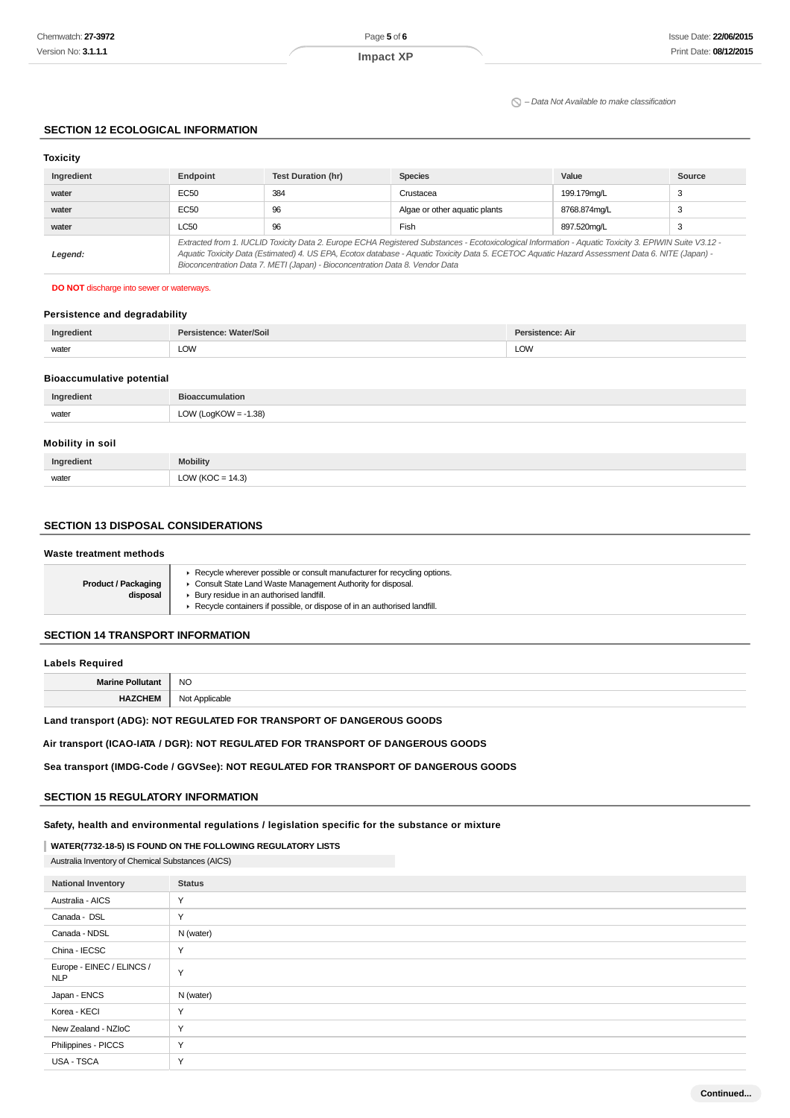#### $\Omega$  – Data Not Available to make classification

#### **SECTION 12 ECOLOGICAL INFORMATION**

| <b>Toxicity</b> |                                                                                                                                                                                                                                                                                                                                                                                          |                           |                               |              |        |
|-----------------|------------------------------------------------------------------------------------------------------------------------------------------------------------------------------------------------------------------------------------------------------------------------------------------------------------------------------------------------------------------------------------------|---------------------------|-------------------------------|--------------|--------|
| Ingredient      | Endpoint                                                                                                                                                                                                                                                                                                                                                                                 | <b>Test Duration (hr)</b> | <b>Species</b>                | Value        | Source |
| water           | EC50                                                                                                                                                                                                                                                                                                                                                                                     | 384                       | Crustacea                     | 199.179mg/L  | 3      |
| water           | EC50                                                                                                                                                                                                                                                                                                                                                                                     | 96                        | Algae or other aquatic plants | 8768.874mg/L | 3      |
| water           | <b>LC50</b>                                                                                                                                                                                                                                                                                                                                                                              | 96                        | Fish                          | 897.520ma/L  | З      |
| Legend:         | Extracted from 1. IUCLID Toxicity Data 2. Europe ECHA Registered Substances - Ecotoxicological Information - Aquatic Toxicity 3. EPIWIN Suite V3.12 -<br>Aquatic Toxicity Data (Estimated) 4. US EPA, Ecotox database - Aquatic Toxicity Data 5. ECETOC Aquatic Hazard Assessment Data 6. NITE (Japan) -<br>Bioconcentration Data 7. METI (Japan) - Bioconcentration Data 8. Vendor Data |                           |                               |              |        |

#### **DO NOT** discharge into sewer or waterways.

## **Persistence and degradability**

|       | Soil       | Air |
|-------|------------|-----|
| water | <b>LOW</b> | LOW |
|       |            |     |

#### **Bioaccumulative potential**

| Ingredient | Bioaccumulation                     |
|------------|-------------------------------------|
| water      | 1.38<br>∣ oaKOW<br><b>LOW</b><br>__ |

#### **Mobility in soil**

| Ingredient | <b>Mobility</b>                             |
|------------|---------------------------------------------|
| water      | 112<br>ົ<br>$\overline{ }$<br>∙ن. +<br>$ -$ |

#### **SECTION 13 DISPOSAL CONSIDERATIONS**

#### **Waste treatment methods**

| <b>Product / Packaging</b><br>disposal | Exercise wherever possible or consult manufacturer for recycling options.<br>Consult State Land Waste Management Authority for disposal.<br>Bury residue in an authorised landfill.<br>Recycle containers if possible, or dispose of in an authorised landfill. |
|----------------------------------------|-----------------------------------------------------------------------------------------------------------------------------------------------------------------------------------------------------------------------------------------------------------------|
|----------------------------------------|-----------------------------------------------------------------------------------------------------------------------------------------------------------------------------------------------------------------------------------------------------------------|

## **SECTION 14 TRANSPORT INFORMATION**

#### **Labels Required**

|               | <b>NO</b> |
|---------------|-----------|
| ш.<br>п,<br>. | ◡         |

## **Land transport (ADG): NOT REGULATED FOR TRANSPORT OF DANGEROUS GOODS**

## **Air transport (ICAO-IATA / DGR): NOT REGULATED FOR TRANSPORT OF DANGEROUS GOODS**

#### **Sea transport (IMDG-Code / GGVSee): NOT REGULATED FOR TRANSPORT OF DANGEROUS GOODS**

#### **SECTION 15 REGULATORY INFORMATION**

**Safety, health and environmental regulations / legislation specific for the substance or mixture**

#### **WATER(7732-18-5) IS FOUND ON THE FOLLOWING REGULATORY LISTS**

Australia Inventory of Chemical Substances (AICS)

| <b>National Inventory</b>               | <b>Status</b> |
|-----------------------------------------|---------------|
| Australia - AICS                        | $\checkmark$  |
| Canada - DSL                            | $\checkmark$  |
| Canada - NDSL                           | N (water)     |
| China - IECSC                           | $\checkmark$  |
| Europe - EINEC / ELINCS /<br><b>NLP</b> | $\checkmark$  |
| Japan - ENCS                            | N (water)     |
| Korea - KECI                            | $\checkmark$  |
| New Zealand - NZIoC                     | Y             |
| Philippines - PICCS                     | Y             |
| USA - TSCA                              | $\checkmark$  |

**Continued...**